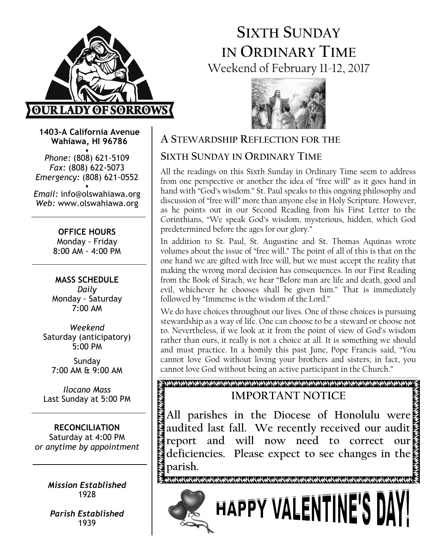

# SIXTH SUNDAY IN ORDINARY TIME Weekend of February 11-12, 2017



1403-A California Avenue Wahiawa, HI 96786

♦ Phone: (808) 621-5109 Fax: (808) 622-5073 Emergency: (808) 621-0552 ♦

Email: info@olswahiawa.org Web: www.olswahiawa.org

> OFFICE HOURS Monday - Friday 8:00 AM - 4:00 PM

MASS SCHEDULE Daily Monday - Saturday 7:00 AM

Weekend Saturday (anticipatory) 5:00 PM

Sunday 7:00 AM & 9:00 AM

Ilocano Mass Last Sunday at 5:00 PM

RECONCILIATION Saturday at 4:00 PM or anytime by appointment

> Mission Established 1928

Parish Established 1939

## A STEWARDSHIP REFLECTION FOR THE

## SIXTH SUNDAY IN ORDINARY TIME

All the readings on this Sixth Sunday in Ordinary Time seem to address from one perspective or another the idea of "free will" as it goes hand in hand with "God's wisdom." St. Paul speaks to this ongoing philosophy and discussion of "free will" more than anyone else in Holy Scripture. However, as he points out in our Second Reading from his First Letter to the Corinthians, "We speak God's wisdom, mysterious, hidden, which God predetermined before the ages for our glory."

In addition to St. Paul, St. Augustine and St. Thomas Aquinas wrote volumes about the issue of "free will." The point of all of this is that on the one hand we are gifted with free will, but we must accept the reality that making the wrong moral decision has consequences. In our First Reading from the Book of Sirach, we hear "Before man are life and death, good and evil, whichever he chooses shall be given him." That is immediately followed by "Immense is the wisdom of the Lord."

We do have choices throughout our lives. One of those choices is pursuing stewardship as a way of life. One can choose to be a steward or choose not to. Nevertheless, if we look at it from the point of view of God's wisdom rather than ours, it really is not a choice at all. It is something we should and must practice. In a homily this past June, Pope Francis said, "You cannot love God without loving your brothers and sisters; in fact, you cannot love God without being an active participant in the Church."

IMPORTANT NOTICE

All parishes in the Diocese of Honolulu were audited last fall. We recently received our audit report and will now need to correct our deficiencies. Please expect to see changes in the parish.

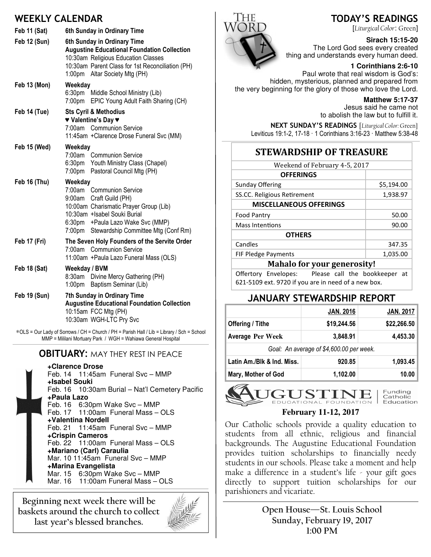## WEEKLY CALENDAR

| Feb 11 (Sat)        | 6th Sunday in Ordinary Time                                                                                                                                                                                      |  |  |
|---------------------|------------------------------------------------------------------------------------------------------------------------------------------------------------------------------------------------------------------|--|--|
| Feb 12 (Sun)        | 6th Sunday in Ordinary Time<br><b>Augustine Educational Foundation Collection</b><br>10:30am Religious Education Classes<br>10:30am Parent Class for 1st Reconciliation (PH)<br>Altar Society Mtg (PH)<br>1:00pm |  |  |
| Feb 13 (Mon)        | Weekday<br>6:30pm Middle School Ministry (Lib)<br>7:00pm EPIC Young Adult Faith Sharing (CH)                                                                                                                     |  |  |
| Feb 14 (Tue)        | <b>Sts Cyril &amp; Methodius</b><br>♥ Valentine's Day ♥<br><b>Communion Service</b><br>7:00am<br>11:45am + Clarence Drose Funeral Svc (MM)                                                                       |  |  |
| Feb 15 (Wed)        | Weekday<br>7:00am Communion Service<br>6:30pm Youth Ministry Class (Chapel)<br>7:00pm<br>Pastoral Council Mtg (PH)                                                                                               |  |  |
| <b>Feb 16 (Thu)</b> | Weekday<br>7:00am Communion Service<br>9:00am Craft Guild (PH)<br>10:00am Charismatic Prayer Group (Lib)                                                                                                         |  |  |
|                     | 10:30am +Isabel Souki Burial<br>6:30pm + Paula Lazo Wake Svc (MMP)<br>Stewardship Committee Mtg (Conf Rm)<br>7:00pm                                                                                              |  |  |
| Feb 17 (Fri)        | The Seven Holy Founders of the Servite Order<br>7:00am<br><b>Communion Service</b><br>11:00am + Paula Lazo Funeral Mass (OLS)                                                                                    |  |  |
| Feb 18 (Sat)        | Weekday / BVM<br>8:30am Divine Mercy Gathering (PH)<br>1:00pm Baptism Seminar (Lib)                                                                                                                              |  |  |
| Feb 19 (Sun)        | 7th Sunday in Ordinary Time<br><b>Augustine Educational Foundation Collection</b><br>10:15am FCC Mtg (PH)<br>10:30am WGH-LTC Pry Svc                                                                             |  |  |

MMP = Mililani Mortuary Park / WGH = Wahiawa General Hospital

#### **OBITUARY: MAY THEY REST IN PEACE**

#### **+Clarence Drose**

Feb. 14 11:45am Funeral Svc – MMP **+Isabel Souki** Feb. 16 10:30am Burial – Nat'l Cemetery Pacific **+Paula Lazo** Feb. 16 6:30pm Wake Svc – MMP Feb. 17 11:00am Funeral Mass – OLS **+Valentina Nordell** Feb. 21 11:45am Funeral Svc – MMP **+Crispin Cameros** Feb. 22 11:00am Funeral Mass – OLS **+Mariano (Carl) Caraulia** Mar. 10 11:45am Funeral Svc – MMP **+Marina Evangelista** Mar. 15 6:30pm Wake Svc – MMP Mar. 16 11:00am Funeral Mass – OLS

Beginning next week there will be baskets around the church to collect last year's blessed branches.





[Liturgical Color: Green]

#### **Sirach 15:15-20**

The Lord God sees every created thing and understands every human deed.

**1 Corinthians 2:6-10** 

Paul wrote that real wisdom is God's: hidden, mysterious, planned and prepared from the very beginning for the glory of those who love the Lord.

**Matthew 5:17-37** 

Jesus said he came not to abolish the law but to fulfill it.

NEXT SUNDAY'S READINGS [Liturgical Color: Green] Leviticus 19:1-2, 17-18 · 1 Corinthians 3:16-23 · Matthew 5:38-48

## **STEWARDSHIP OF TREASURE**

| Weekend of February 4-5, 2017      |            |  |
|------------------------------------|------------|--|
| <b>OFFERINGS</b>                   |            |  |
| Sunday Offering                    | \$5,194.00 |  |
| SS.CC. Religious Retirement        | 1,938.97   |  |
| <b>MISCELLANEOUS OFFERINGS</b>     |            |  |
| <b>Food Pantry</b>                 | 50.00      |  |
| <b>Mass Intentions</b>             | 90.00      |  |
| <b>OTHERS</b>                      |            |  |
| Candles                            | 347.35     |  |
| FIF Pledge Payments                | 1,035.00   |  |
| <b>Mahalo for your generosity!</b> |            |  |

Offertory Envelopes: Please call the bookkeeper at 621-5109 ext. 9720 if you are in need of a new box.

## JANUARY STEWARDSHIP REPORT

|                                          | <b>JAN. 2016</b> | <b>JAN. 2017</b> |  |  |
|------------------------------------------|------------------|------------------|--|--|
| <b>Offering / Tithe</b>                  | \$19,244.56      | \$22,266.50      |  |  |
| Average Per Week                         | 3,848.91         | 4,453.30         |  |  |
| Goal: An average of \$4,600.00 per week. |                  |                  |  |  |
| Latin Am./Blk & Ind. Miss.               | 920.85           | 1,093.45         |  |  |
| Mary, Mother of God                      | 1,102.00         | 10.00            |  |  |



#### **February 11-12, 2017**

Our Catholic schools provide a quality education to students from all ethnic, religious and financial backgrounds. The Augustine Educational Foundation provides tuition scholarships to financially needy students in our schools. Please take a moment and help make a difference in a student's life - your gift goes directly to support tuition scholarships for our parishioners and vicariate.

> Open House—St. Louis School Sunday, February 19, 2017 1:00 PM